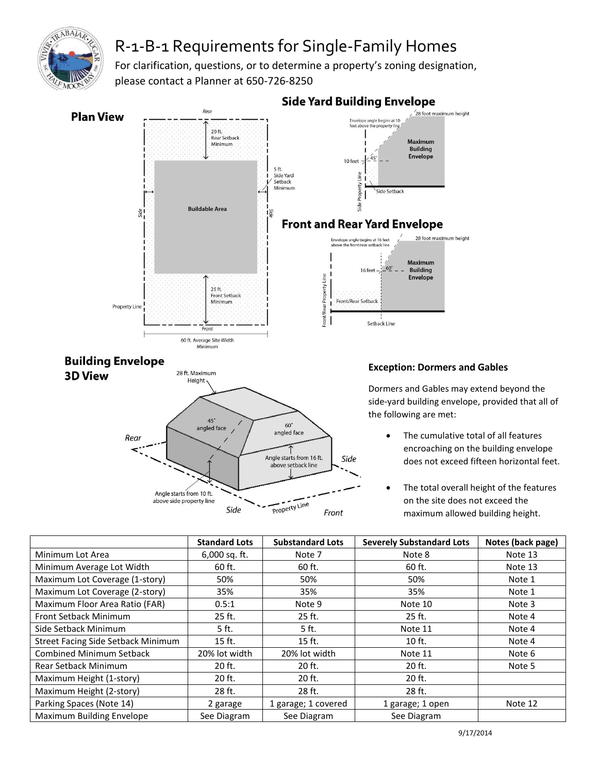

## R-1-B-1 Requirements for Single-Family Homes

For clarification, questions, or to determine a property's zoning designation, please contact a Planner at 650-726-8250



## **Side Yard Building Envelope**

Dormers and Gables may extend beyond the side-yard building envelope, provided that all of

- The cumulative total of all features encroaching on the building envelope does not exceed fifteen horizontal feet.
- The total overall height of the features on the site does not exceed the maximum allowed building height.

|                                           | <b>Standard Lots</b> | <b>Substandard Lots</b> | <b>Severely Substandard Lots</b> | Notes (back page) |
|-------------------------------------------|----------------------|-------------------------|----------------------------------|-------------------|
| Minimum Lot Area                          | $6,000$ sq. ft.      | Note 7                  | Note 8                           | Note 13           |
| Minimum Average Lot Width                 | 60 ft.               | 60 ft.                  | 60 ft.                           | Note 13           |
| Maximum Lot Coverage (1-story)            | 50%                  | 50%                     | 50%                              | Note 1            |
| Maximum Lot Coverage (2-story)            | 35%                  | 35%                     | 35%                              | Note 1            |
| Maximum Floor Area Ratio (FAR)            | 0.5:1                | Note 9                  | Note 10                          | Note 3            |
| Front Setback Minimum                     | $25$ ft.             | 25 ft.                  | 25 ft.                           | Note 4            |
| Side Setback Minimum                      | 5 ft.                | 5 ft.                   | Note 11                          | Note 4            |
| <b>Street Facing Side Setback Minimum</b> | $15$ ft.             | $15$ ft.                | $10$ ft.                         | Note 4            |
| <b>Combined Minimum Setback</b>           | 20% lot width        | 20% lot width           | Note 11                          | Note 6            |
| <b>Rear Setback Minimum</b>               | 20 ft.               | 20 ft.                  | 20 ft.                           | Note 5            |
| Maximum Height (1-story)                  | 20 ft.               | 20 ft.                  | 20 ft.                           |                   |
| Maximum Height (2-story)                  | 28 ft.               | 28 ft.                  | 28 ft.                           |                   |
| Parking Spaces (Note 14)                  | 2 garage             | 1 garage; 1 covered     | 1 garage; 1 open                 | Note 12           |
| Maximum Building Envelope                 | See Diagram          | See Diagram             | See Diagram                      |                   |